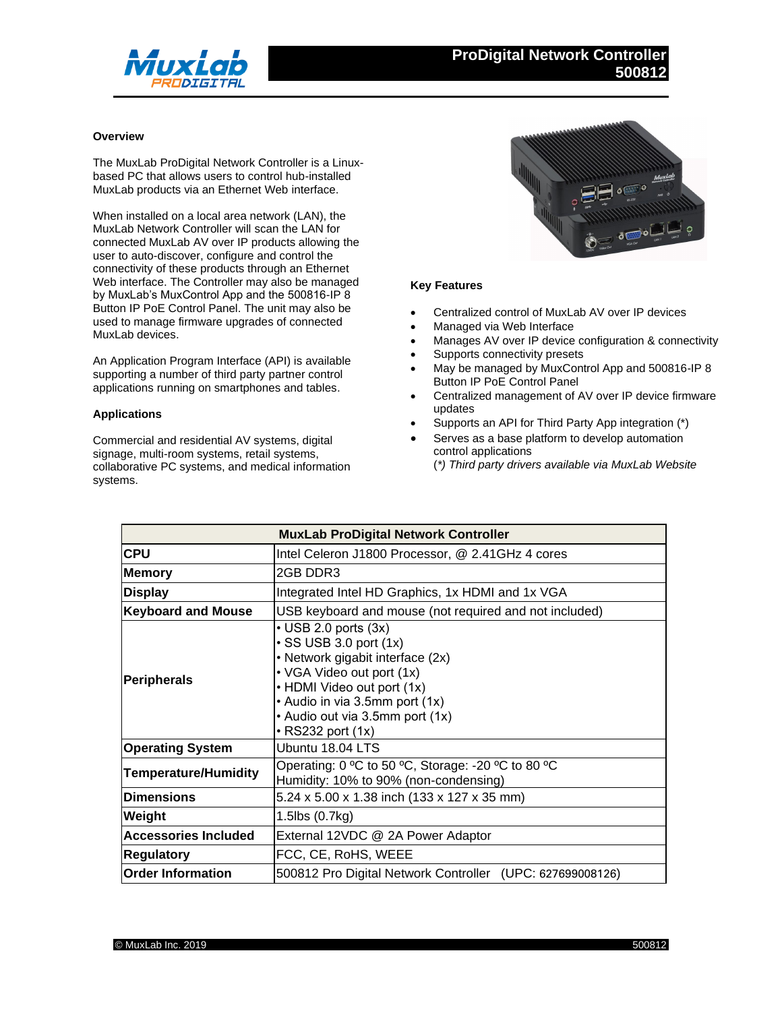

## **Overview**

The MuxLab ProDigital Network Controller is a Linuxbased PC that allows users to control hub-installed MuxLab products via an Ethernet Web interface.

When installed on a local area network (LAN), the MuxLab Network Controller will scan the LAN for connected MuxLab AV over IP products allowing the user to auto-discover, configure and control the connectivity of these products through an Ethernet Web interface. The Controller may also be managed by MuxLab's MuxControl App and the 500816-IP 8 Button IP PoE Control Panel. The unit may also be used to manage firmware upgrades of connected MuxLab devices.

An Application Program Interface (API) is available supporting a number of third party partner control applications running on smartphones and tables.

## **Applications**

Commercial and residential AV systems, digital signage, multi-room systems, retail systems, collaborative PC systems, and medical information systems.



## **Key Features**

- Centralized control of MuxLab AV over IP devices
- Managed via Web Interface
- Manages AV over IP device configuration & connectivity
- Supports connectivity presets
- May be managed by MuxControl App and 500816-IP 8 Button IP PoE Control Panel
- Centralized management of AV over IP device firmware updates
- Supports an API for Third Party App integration (\*)
- Serves as a base platform to develop automation control applications
	- (*\*) Third party drivers available via MuxLab Website*

| <b>MuxLab ProDigital Network Controller</b> |                                                                                                                                                                                                                                                           |
|---------------------------------------------|-----------------------------------------------------------------------------------------------------------------------------------------------------------------------------------------------------------------------------------------------------------|
| <b>CPU</b>                                  | Intel Celeron J1800 Processor, @ 2.41GHz 4 cores                                                                                                                                                                                                          |
| <b>Memory</b>                               | 2GB DDR3                                                                                                                                                                                                                                                  |
| <b>Display</b>                              | Integrated Intel HD Graphics, 1x HDMI and 1x VGA                                                                                                                                                                                                          |
| <b>Keyboard and Mouse</b>                   | USB keyboard and mouse (not required and not included)                                                                                                                                                                                                    |
| <b>Peripherals</b>                          | $\cdot$ USB 2.0 ports (3x)<br>$\cdot$ SS USB 3.0 port (1x)<br>• Network gigabit interface (2x)<br>• VGA Video out port (1x)<br>• HDMI Video out port (1x)<br>• Audio in via 3.5mm port (1x)<br>• Audio out via 3.5mm port (1x)<br>$\cdot$ RS232 port (1x) |
| <b>Operating System</b>                     | Ubuntu 18.04 LTS                                                                                                                                                                                                                                          |
| <b>Temperature/Humidity</b>                 | Operating: 0 °C to 50 °C, Storage: -20 °C to 80 °C<br>Humidity: 10% to 90% (non-condensing)                                                                                                                                                               |
| <b>Dimensions</b>                           | 5.24 x 5.00 x 1.38 inch (133 x 127 x 35 mm)                                                                                                                                                                                                               |
| Weight                                      | 1.5lbs (0.7kg)                                                                                                                                                                                                                                            |
| <b>Accessories Included</b>                 | External 12VDC @ 2A Power Adaptor                                                                                                                                                                                                                         |
| <b>Regulatory</b>                           | FCC, CE, RoHS, WEEE                                                                                                                                                                                                                                       |
| <b>Order Information</b>                    | 500812 Pro Digital Network Controller (UPC: 627699008126)                                                                                                                                                                                                 |